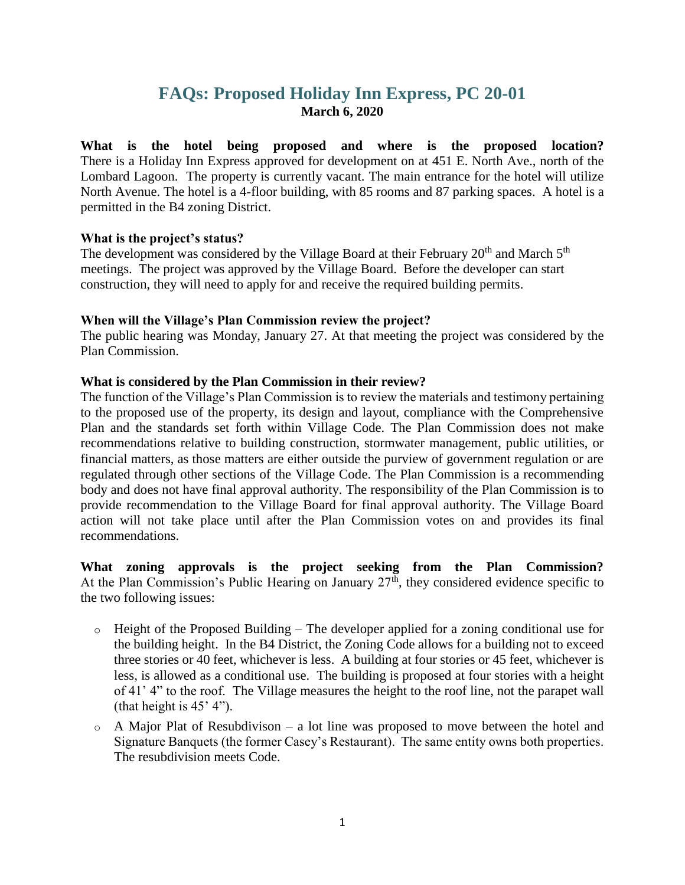# **FAQs: Proposed Holiday Inn Express, PC 20-01 March 6, 2020**

**What is the hotel being proposed and where is the proposed location?** There is a Holiday Inn Express approved for development on at 451 E. North Ave., north of the Lombard Lagoon. The property is currently vacant. The main entrance for the hotel will utilize North Avenue. The hotel is a 4-floor building, with 85 rooms and 87 parking spaces. A hotel is a permitted in the B4 zoning District.

#### **What is the project's status?**

The development was considered by the Village Board at their February  $20<sup>th</sup>$  and March  $5<sup>th</sup>$ meetings. The project was approved by the Village Board. Before the developer can start construction, they will need to apply for and receive the required building permits.

#### **When will the Village's Plan Commission review the project?**

The public hearing was Monday, January 27. At that meeting the project was considered by the Plan Commission.

#### **What is considered by the Plan Commission in their review?**

The function of the Village's Plan Commission is to review the materials and testimony pertaining to the proposed use of the property, its design and layout, compliance with the Comprehensive Plan and the standards set forth within Village Code. The Plan Commission does not make recommendations relative to building construction, stormwater management, public utilities, or financial matters, as those matters are either outside the purview of government regulation or are regulated through other sections of the Village Code. The Plan Commission is a recommending body and does not have final approval authority. The responsibility of the Plan Commission is to provide recommendation to the Village Board for final approval authority. The Village Board action will not take place until after the Plan Commission votes on and provides its final recommendations.

**What zoning approvals is the project seeking from the Plan Commission?** At the Plan Commission's Public Hearing on January  $27<sup>th</sup>$ , they considered evidence specific to the two following issues:

- $\circ$  Height of the Proposed Building The developer applied for a zoning conditional use for the building height. In the B4 District, the Zoning Code allows for a building not to exceed three stories or 40 feet, whichever is less. A building at four stories or 45 feet, whichever is less, is allowed as a conditional use. The building is proposed at four stories with a height of 41' 4" to the roof. The Village measures the height to the roof line, not the parapet wall (that height is  $45'$  4").
- $\circ$  A Major Plat of Resubdivison a lot line was proposed to move between the hotel and Signature Banquets (the former Casey's Restaurant). The same entity owns both properties. The resubdivision meets Code.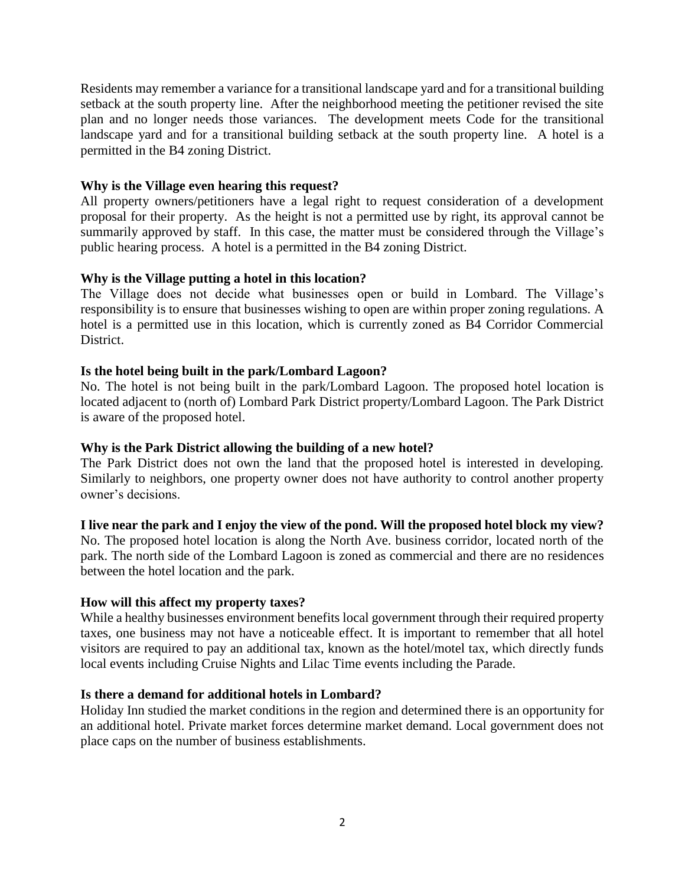Residents may remember a variance for a transitional landscape yard and for a transitional building setback at the south property line. After the neighborhood meeting the petitioner revised the site plan and no longer needs those variances. The development meets Code for the transitional landscape yard and for a transitional building setback at the south property line. A hotel is a permitted in the B4 zoning District.

#### **Why is the Village even hearing this request?**

All property owners/petitioners have a legal right to request consideration of a development proposal for their property. As the height is not a permitted use by right, its approval cannot be summarily approved by staff. In this case, the matter must be considered through the Village's public hearing process. A hotel is a permitted in the B4 zoning District.

# **Why is the Village putting a hotel in this location?**

The Village does not decide what businesses open or build in Lombard. The Village's responsibility is to ensure that businesses wishing to open are within proper zoning regulations. A hotel is a permitted use in this location, which is currently zoned as B4 Corridor Commercial District.

# **Is the hotel being built in the park/Lombard Lagoon?**

No. The hotel is not being built in the park/Lombard Lagoon. The proposed hotel location is located adjacent to (north of) Lombard Park District property/Lombard Lagoon. The Park District is aware of the proposed hotel.

#### **Why is the Park District allowing the building of a new hotel?**

The Park District does not own the land that the proposed hotel is interested in developing. Similarly to neighbors, one property owner does not have authority to control another property owner's decisions.

# **I live near the park and I enjoy the view of the pond. Will the proposed hotel block my view?**

No. The proposed hotel location is along the North Ave. business corridor, located north of the park. The north side of the Lombard Lagoon is zoned as commercial and there are no residences between the hotel location and the park.

#### **How will this affect my property taxes?**

While a healthy businesses environment benefits local government through their required property taxes, one business may not have a noticeable effect. It is important to remember that all hotel visitors are required to pay an additional tax, known as the hotel/motel tax, which directly funds local events including Cruise Nights and Lilac Time events including the Parade.

#### **Is there a demand for additional hotels in Lombard?**

Holiday Inn studied the market conditions in the region and determined there is an opportunity for an additional hotel. Private market forces determine market demand. Local government does not place caps on the number of business establishments.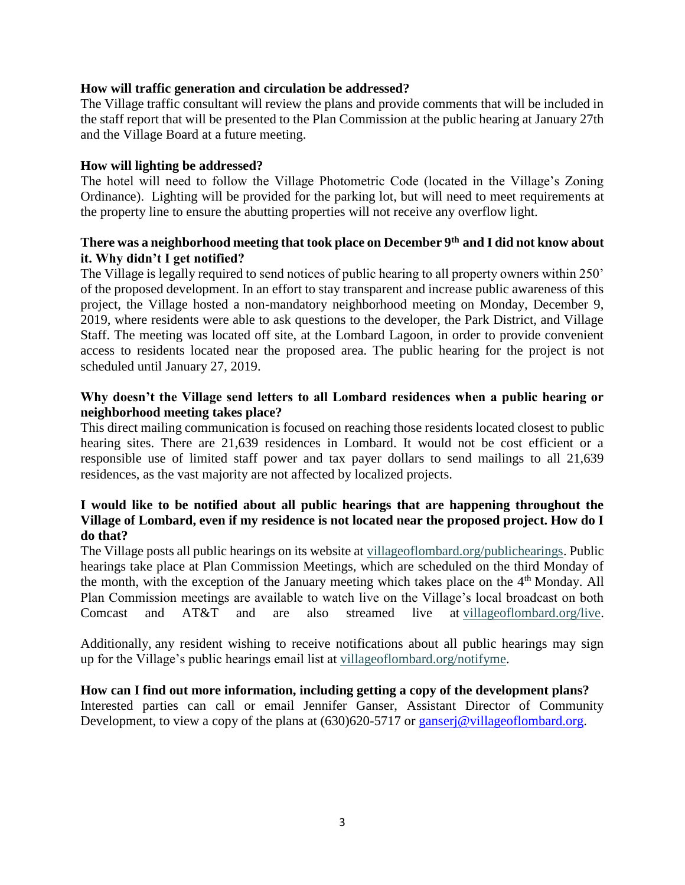#### **How will traffic generation and circulation be addressed?**

The Village traffic consultant will review the plans and provide comments that will be included in the staff report that will be presented to the Plan Commission at the public hearing at January 27th and the Village Board at a future meeting.

#### **How will lighting be addressed?**

The hotel will need to follow the Village Photometric Code (located in the Village's Zoning Ordinance). Lighting will be provided for the parking lot, but will need to meet requirements at the property line to ensure the abutting properties will not receive any overflow light.

# **There was a neighborhood meeting that took place on December 9th and I did not know about it. Why didn't I get notified?**

The Village is legally required to send notices of public hearing to all property owners within 250' of the proposed development. In an effort to stay transparent and increase public awareness of this project, the Village hosted a non-mandatory neighborhood meeting on Monday, December 9, 2019, where residents were able to ask questions to the developer, the Park District, and Village Staff. The meeting was located off site, at the Lombard Lagoon, in order to provide convenient access to residents located near the proposed area. The public hearing for the project is not scheduled until January 27, 2019.

# **Why doesn't the Village send letters to all Lombard residences when a public hearing or neighborhood meeting takes place?**

This direct mailing communication is focused on reaching those residents located closest to public hearing sites. There are 21,639 residences in Lombard. It would not be cost efficient or a responsible use of limited staff power and tax payer dollars to send mailings to all 21,639 residences, as the vast majority are not affected by localized projects.

# **I would like to be notified about all public hearings that are happening throughout the Village of Lombard, even if my residence is not located near the proposed project. How do I do that?**

The Village posts all public hearings on its website at [villageoflombard.org/publichearings.](http://www.villageoflombard.org/publichearings) Public hearings take place at Plan Commission Meetings, which are scheduled on the third Monday of the month, with the exception of the January meeting which takes place on the  $4<sup>th</sup>$  Monday. All Plan Commission meetings are available to watch live on the Village's local broadcast on both Comcast and AT&T and are also streamed live at [villageoflombard.org/live.](http://www.villageoflombard.org/live)

Additionally, any resident wishing to receive notifications about all public hearings may sign up for the Village's public hearings email list at [villageoflombard.org/notifyme.](http://www.villageoflombard.org/notifyme)

# **How can I find out more information, including getting a copy of the development plans?**

Interested parties can call or email Jennifer Ganser, Assistant Director of Community Development, to view a copy of the plans at  $(630)620-5717$  or [ganserj@villageoflombard.org.](mailto:ganserj@villageoflombard.org)